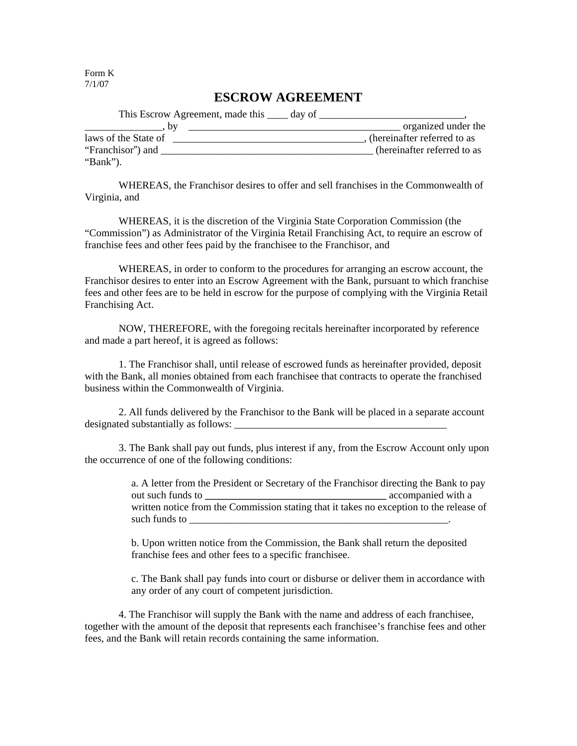Form K 7/1/07

## **ESCROW AGREEMENT**

| This Escrow Agreement, made this <u>equal</u> day of |                             |
|------------------------------------------------------|-----------------------------|
| b٧                                                   | organized under the         |
| laws of the State of                                 | (hereinafter referred to as |
| "Franchisor") and                                    | (hereinafter referred to as |
| "Bank").                                             |                             |

WHEREAS, the Franchisor desires to offer and sell franchises in the Commonwealth of Virginia, and

WHEREAS, it is the discretion of the Virginia State Corporation Commission (the "Commission") as Administrator of the Virginia Retail Franchising Act, to require an escrow of franchise fees and other fees paid by the franchisee to the Franchisor, and

WHEREAS, in order to conform to the procedures for arranging an escrow account, the Franchisor desires to enter into an Escrow Agreement with the Bank, pursuant to which franchise fees and other fees are to be held in escrow for the purpose of complying with the Virginia Retail Franchising Act.

NOW, THEREFORE, with the foregoing recitals hereinafter incorporated by reference and made a part hereof, it is agreed as follows:

1. The Franchisor shall, until release of escrowed funds as hereinafter provided, deposit with the Bank, all monies obtained from each franchisee that contracts to operate the franchised business within the Commonwealth of Virginia.

2. All funds delivered by the Franchisor to the Bank will be placed in a separate account designated substantially as follows:

3. The Bank shall pay out funds, plus interest if any, from the Escrow Account only upon the occurrence of one of the following conditions:

> a. A letter from the President or Secretary of the Franchisor directing the Bank to pay out such funds to **accompanied with a** written notice from the Commission stating that it takes no exception to the release of such funds to

b. Upon written notice from the Commission, the Bank shall return the deposited franchise fees and other fees to a specific franchisee.

c. The Bank shall pay funds into court or disburse or deliver them in accordance with any order of any court of competent jurisdiction.

4. The Franchisor will supply the Bank with the name and address of each franchisee, together with the amount of the deposit that represents each franchisee's franchise fees and other fees, and the Bank will retain records containing the same information.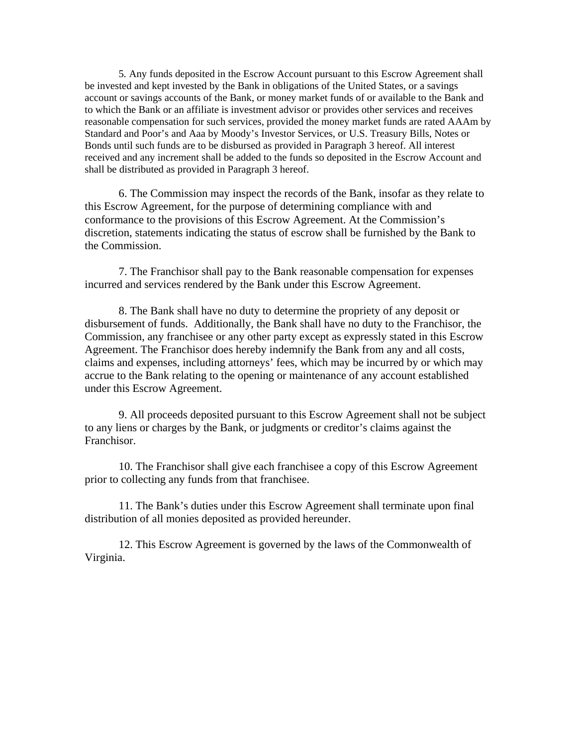5*.* Any funds deposited in the Escrow Account pursuant to this Escrow Agreement shall be invested and kept invested by the Bank in obligations of the United States, or a savings account or savings accounts of the Bank, or money market funds of or available to the Bank and to which the Bank or an affiliate is investment advisor or provides other services and receives reasonable compensation for such services, provided the money market funds are rated AAAm by Standard and Poor's and Aaa by Moody's Investor Services, or U.S. Treasury Bills, Notes or Bonds until such funds are to be disbursed as provided in Paragraph 3 hereof. All interest received and any increment shall be added to the funds so deposited in the Escrow Account and shall be distributed as provided in Paragraph 3 hereof.

6. The Commission may inspect the records of the Bank, insofar as they relate to this Escrow Agreement, for the purpose of determining compliance with and conformance to the provisions of this Escrow Agreement. At the Commission's discretion, statements indicating the status of escrow shall be furnished by the Bank to the Commission.

7. The Franchisor shall pay to the Bank reasonable compensation for expenses incurred and services rendered by the Bank under this Escrow Agreement.

8. The Bank shall have no duty to determine the propriety of any deposit or disbursement of funds. Additionally, the Bank shall have no duty to the Franchisor, the Commission, any franchisee or any other party except as expressly stated in this Escrow Agreement. The Franchisor does hereby indemnify the Bank from any and all costs, claims and expenses, including attorneys' fees, which may be incurred by or which may accrue to the Bank relating to the opening or maintenance of any account established under this Escrow Agreement.

9. All proceeds deposited pursuant to this Escrow Agreement shall not be subject to any liens or charges by the Bank, or judgments or creditor's claims against the Franchisor.

10. The Franchisor shall give each franchisee a copy of this Escrow Agreement prior to collecting any funds from that franchisee.

11. The Bank's duties under this Escrow Agreement shall terminate upon final distribution of all monies deposited as provided hereunder.

12. This Escrow Agreement is governed by the laws of the Commonwealth of Virginia.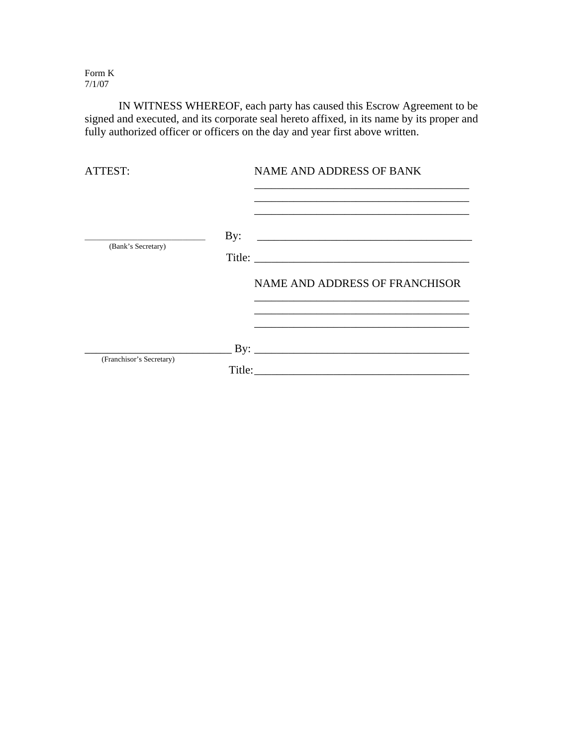Form K 7/1/07

 IN WITNESS WHEREOF, each party has caused this Escrow Agreement to be signed and executed, and its corporate seal hereto affixed, in its name by its proper and fully authorized officer or officers on the day and year first above written.

| ATTEST:                  | <b>NAME AND ADDRESS OF BANK</b>                                                                                                                                                                                                                            |
|--------------------------|------------------------------------------------------------------------------------------------------------------------------------------------------------------------------------------------------------------------------------------------------------|
| (Bank's Secretary)       | By: $\qquad \qquad$                                                                                                                                                                                                                                        |
|                          | NAME AND ADDRESS OF FRANCHISOR<br><u> 1989 - Johann Stoff, amerikansk politiker (* 1908)</u>                                                                                                                                                               |
|                          | the control of the control of the control of the control of the control of the control of the control of the control of the control of the control of the control of the control of the control of the control of the control<br>$\mathbf{B} \mathbf{y}$ : |
| (Franchisor's Secretary) | Title:                                                                                                                                                                                                                                                     |